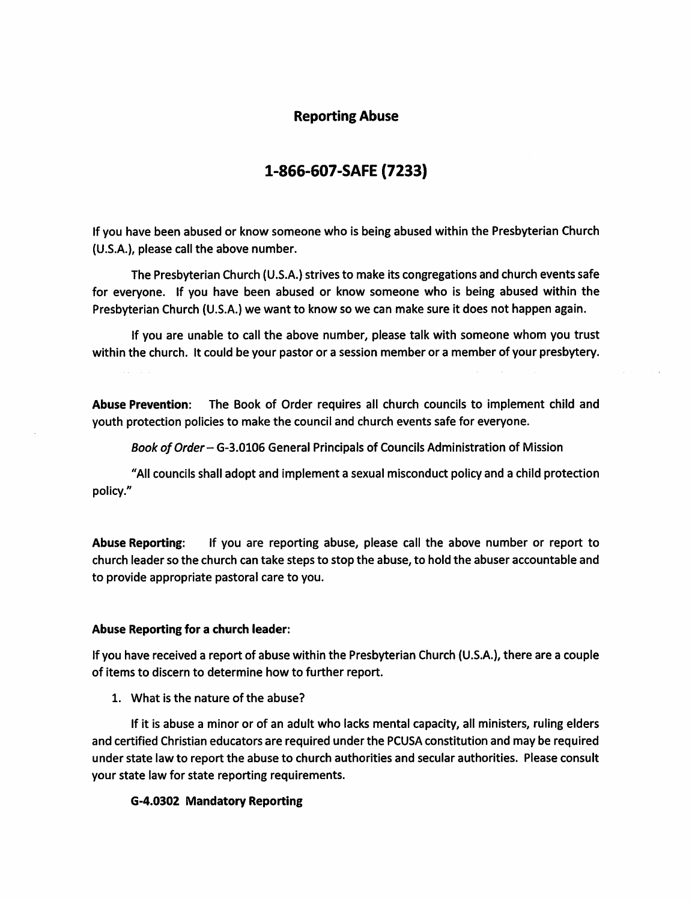## Reporting Abuse

# 1-866-607-SAFE (7233)

If you have been abused or know someone who is being abused within the Presbyterian Church (U.SA), please call the above number.

The Presbyterian Church (U.S.A.) strives to make its congregations and church events safe for everyone. If you have been abused or know someone who is being abused within the Presbyterian Church (U.S.A.) we want to know so we can make sure it does not happen again.

If you are unable to call the above number, please talk with someone whom you trust within the church. It could be your pastor or a session member or a member of your presbytery.

Abuse Prevention: The Book of Order requires all church councils to implement child and youth protection policies to make the council and church events safe for everyone.

Book of Order - G-3.0106 General Principals of Councils Administration of Mission

"All councils shall adopt and implement a sexual misconduct policy and a child protection policy."

Abuse Reporting: If you are reporting abuse, please call the above number or report to church leader so the church can take steps to stop the abuse, to hold the abuser accountable and to provide appropriate pastoral care to you.

#### Abuse Reporting for a church leader:

If you have received a report of abuse within the Presbyterian Church (U.S.A.), there are a couple of items to discern to determine how to further report.

1. What is the nature of the abuse?

If it is abuse a minor or of an adult who lacks mental capacity, all ministers, ruling elders and certified Christian educators are required under the PCUSA constitution and may be required under state law to report the abuse to church authorities and secular authorities. Please consult your state law for state reporting requirements.

#### G-4.0302 Mandatory Reporting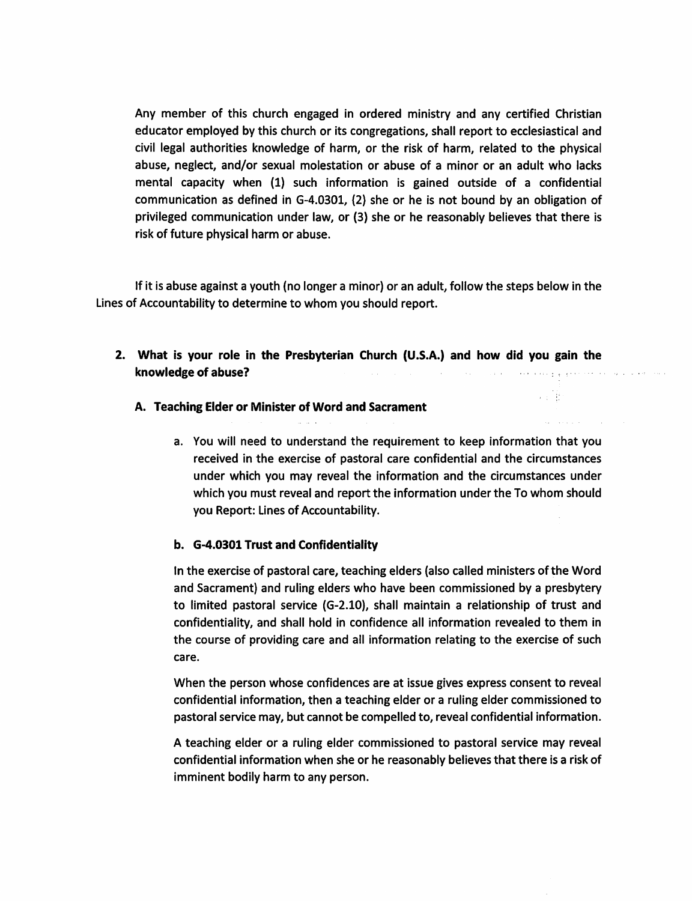Any member of this church engaged in ordered ministry and any certified Christian educator employed by this church or its congregations, shall report to ecclesiastical and civil legal authorities knowledge of harm, or the risk of harm, related to the physical abuse, neglect, and/or sexual molestation or abuse of a minor or an adult who lacks mental capacity when (1) such information is gained outside of a confidential communication as defined in G-4.0301, (2) she or he is not bound by an obligation of privileged communication under law, or (3) she or he reasonably believes that there is risk of future physical harm or abuse.

If it is abuse against a youth (no longer a minor) or an adult, follow the steps below in the Lines of Accountability to determine to whom you should report.

2. What is your role in the Presbyterian Church (U.S.A.) and how did you gain the knowledge of abuse?  $\Delta\omega_{\rm{eff}}$  , where  $\omega_{\rm{eff}}$  $\Delta \sim 1$ state of the contract of the property

#### A. Teaching Elder or Minister of Word and Sacrament

a. You will need to understand the requirement to keep information that you received in the exercise of pastoral care confidential and the circumstances under which you may reveal the information and the circumstances under which you must reveal and report the information under the To whom should you Report: Lines of Accountability.

우리 몸

#### b. G-4.0301 Trust and Confidentiality

In the exercise of pastoral care, teaching elders (also called ministers of the Word and Sacrament) and ruling elders who have been commissioned by a presbytery to limited pastoral service (G-2.10), shall maintain a relationship of trust and confidentiality, and shall hold in confidence all information revealed to them in the course of providing care and all information relating to the exercise of such care.

When the person whose confidences are at issue gives express consent to reveal confidential information, then a teaching elder or a ruling elder commissioned to pastoral service may, but cannot be compelled to, reveal confidential information.

A teaching elder or a ruling elder commissioned to pastoral service may reveal confidential information when she or he reasonably believes that there is a risk of imminent bodily harm to any person.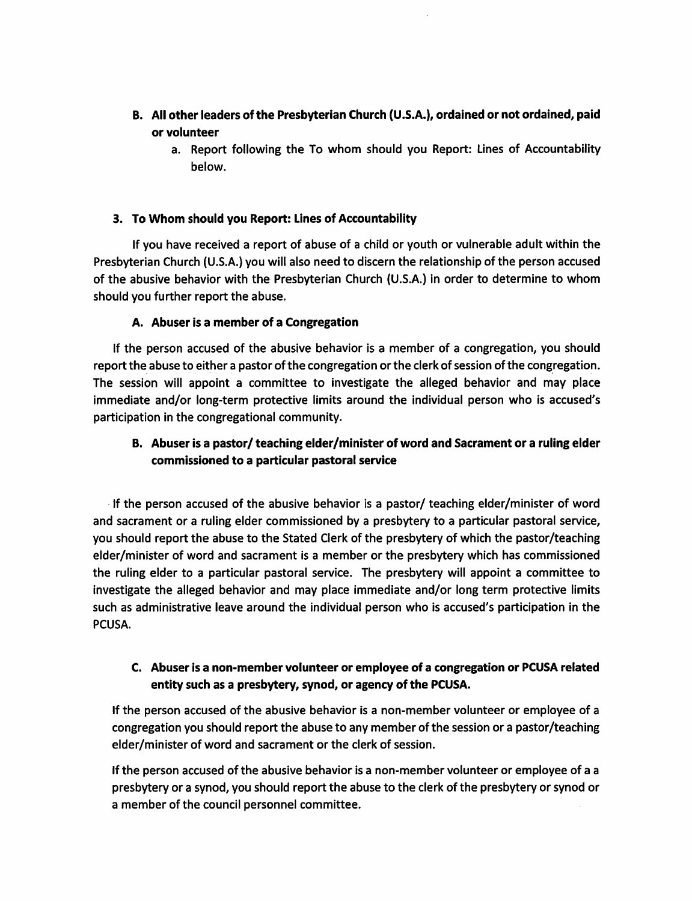- B. All other leaders of the Presbyterian Church (U.S.A.), ordained or not ordained, paid or volunteer
	- a. Report following the To whom should you Report: Lines of Accountability below.

## 3. To Whom should you Report: Lines of Accountability

If you have received a report of abuse of a child or youth or vulnerable adult within the Presbyterian Church (U.S.A.) you will also need to discern the relationship of the person accused of the abusive behavior with the Presbyterian Church (U.S.A.) in order to determine to whom should you further report the abuse.

## A. Abuser is a member of a Congregation

If the person accused of the abusive behavior is a member of a congregation, you should report the abuse to either a pastor of the congregation or the clerk of session of the congregation. The session will appoint a committee to investigate the alleged behavior and may place immediate and/or long-term protective limits around the individual person who is accused's participation in the congregational community.

## B. Abuser is a pastor/ teaching elder/minister of word and Sacrament or a ruling elder commissioned to a particular pastoral service

If the person accused of the abusive behavior is a pastor/ teaching elder/minister of word and sacrament or a ruling elder commissioned by a presbytery to a particular pastoral service, you should report the abuse to the Stated Clerk of the presbytery of which the pastor/teaching elder/minister of word and sacrament is a member or the presbytery which has commissioned the ruling elder to a particular pastoral service. The presbytery will appoint a committee to investigate the alleged behavior and may place immediate and/or long term protective limits such as administrative leave around the individual person who is accused's participation in the PCUSA.

## C. Abuser is a non-member volunteer or employee of a congregation or PCUSA related entity such as a presbytery, synod, or agency of the PCUSA.

If the person accused of the abusive behavior is a non-member volunteer or employee of a congregation you should report the abuse to any member of the session or a pastor/teaching elder/minister of word and sacrament or the clerk of session.

If the person accused of the abusive behavior is a non-member volunteer or employee of a a presbytery or a synod, you should report the abuse to the clerk of the presbytery or synod or a member of the council personnel committee.